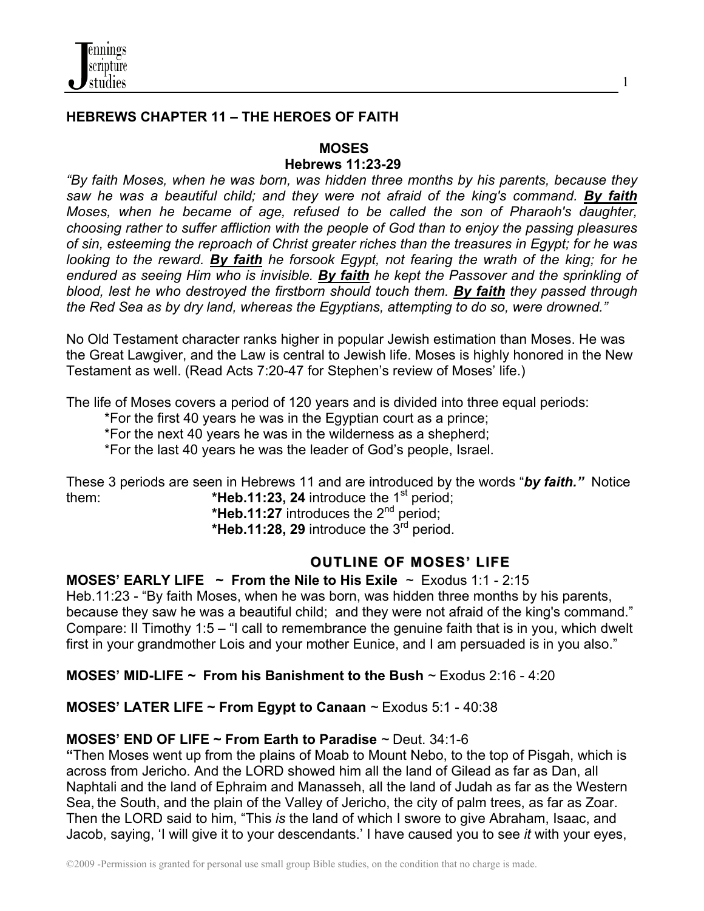

## **HEBREWS CHAPTER 11 – THE HEROES OF FAITH**

### **MOSES**

### **Hebrews 11:23-29**

*"By faith Moses, when he was born, was hidden three months by his parents, because they saw he was a beautiful child; and they were not afraid of the king's command. By faith Moses, when he became of age, refused to be called the son of Pharaoh's daughter, choosing rather to suffer affliction with the people of God than to enjoy the passing pleasures of sin, esteeming the reproach of Christ greater riches than the treasures in Egypt; for he was looking to the reward. By faith he forsook Egypt, not fearing the wrath of the king; for he endured as seeing Him who is invisible. By faith he kept the Passover and the sprinkling of blood, lest he who destroyed the firstborn should touch them. By faith they passed through the Red Sea as by dry land, whereas the Egyptians, attempting to do so, were drowned."* 

No Old Testament character ranks higher in popular Jewish estimation than Moses. He was the Great Lawgiver, and the Law is central to Jewish life. Moses is highly honored in the New Testament as well. (Read Acts 7:20-47 for Stephen's review of Moses' life.)

The life of Moses covers a period of 120 years and is divided into three equal periods:

\*For the first 40 years he was in the Egyptian court as a prince;

\*For the next 40 years he was in the wilderness as a shepherd;

\*For the last 40 years he was the leader of God's people, Israel.

These 3 periods are seen in Hebrews 11 and are introduced by the words "*by faith."* Notice them: **\*Heb.11:23, 24** introduce the 1<sup>st</sup> period;

 **\*Heb.11:27** introduces the 2nd period;  **\*Heb.11:28, 29** introduce the 3rd period.

# **OUTLINE OF MOSES' LIFE**

**MOSES' EARLY LIFE ~ From the Nile to His Exile** *~* Exodus 1:1 - 2:15

Heb.11:23 - "By faith Moses, when he was born, was hidden three months by his parents, because they saw he was a beautiful child; and they were not afraid of the king's command." Compare: II Timothy 1:5 – "I call to remembrance the genuine faith that is in you, which dwelt first in your grandmother Lois and your mother Eunice, and I am persuaded is in you also."

**MOSES' MID-LIFE** *~* **From his Banishment to the Bush** *~* Exodus 2:16 - 4:20

**MOSES' LATER LIFE ~ From Egypt to Canaan** *~* Exodus 5:1 - 40:38

## **MOSES' END OF LIFE ~ From Earth to Paradise** *~* Deut. 34:1-6

**"**Then Moses went up from the plains of Moab to Mount Nebo, to the top of Pisgah, which is across from Jericho. And the LORD showed him all the land of Gilead as far as Dan, all Naphtali and the land of Ephraim and Manasseh, all the land of Judah as far as the Western Sea, the South, and the plain of the Valley of Jericho, the city of palm trees, as far as Zoar. Then the LORD said to him, "This *is* the land of which I swore to give Abraham, Isaac, and Jacob, saying, 'I will give it to your descendants.' I have caused you to see *it* with your eyes,